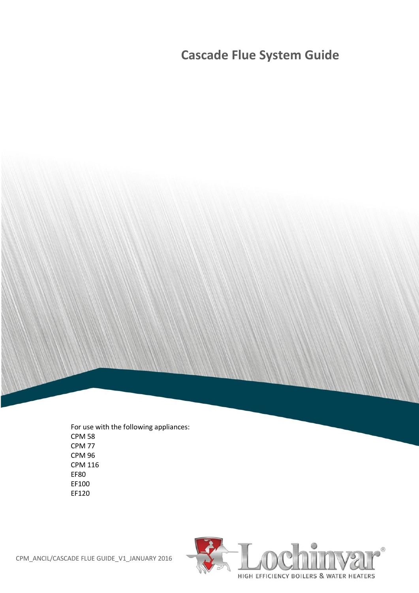# **Cascade Flue System Guide**

For use with the following appliances: CPM 58 CPM 77 CPM 96 CPM 116 EF80 EF100 EF120

CPM\_ANCIL/CASCADE FLUE GUIDE\_V1\_JANUARY 2016

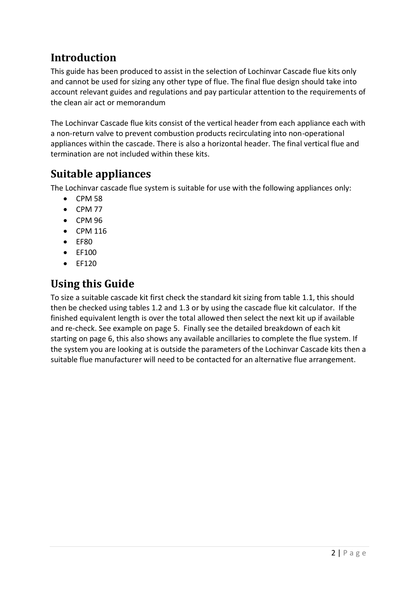# **Introduction**

This guide has been produced to assist in the selection of Lochinvar Cascade flue kits only and cannot be used for sizing any other type of flue. The final flue design should take into account relevant guides and regulations and pay particular attention to the requirements of the clean air act or memorandum

The Lochinvar Cascade flue kits consist of the vertical header from each appliance each with a non-return valve to prevent combustion products recirculating into non-operational appliances within the cascade. There is also a horizontal header. The final vertical flue and termination are not included within these kits.

# **Suitable appliances**

The Lochinvar cascade flue system is suitable for use with the following appliances only:

- $\bullet$  CPM 58
- $\bullet$  CPM 77
- $\bullet$  CPM 96
- CPM 116
- EF80
- $\bullet$  FF100
- $\bullet$  FF120

## **Using this Guide**

To size a suitable cascade kit first check the standard kit sizing from table 1.1, this should then be checked using tables 1.2 and 1.3 or by using the cascade flue kit calculator. If the finished equivalent length is over the total allowed then select the next kit up if available and re-check. See example on page 5. Finally see the detailed breakdown of each kit starting on page 6, this also shows any available ancillaries to complete the flue system. If the system you are looking at is outside the parameters of the Lochinvar Cascade kits then a suitable flue manufacturer will need to be contacted for an alternative flue arrangement.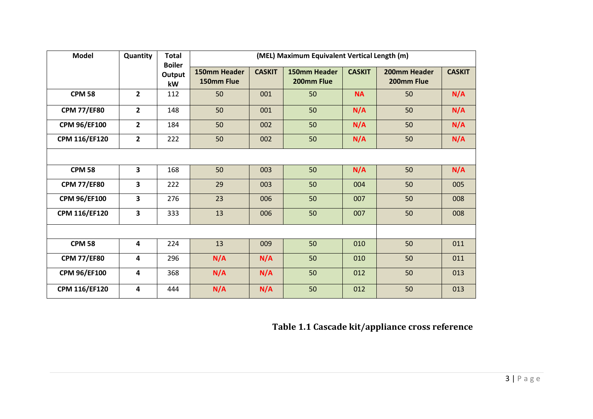| <b>Model</b>         | Quantity                | <b>Total</b><br><b>Boiler</b> | (MEL) Maximum Equivalent Vertical Length (m) |               |                            |               |                            |               |
|----------------------|-------------------------|-------------------------------|----------------------------------------------|---------------|----------------------------|---------------|----------------------------|---------------|
|                      |                         | Output<br>kW                  | 150mm Header<br>150mm Flue                   | <b>CASKIT</b> | 150mm Header<br>200mm Flue | <b>CASKIT</b> | 200mm Header<br>200mm Flue | <b>CASKIT</b> |
| <b>CPM 58</b>        | $\mathbf{2}$            | 112                           | 50                                           | 001           | 50                         | <b>NA</b>     | 50                         | N/A           |
| <b>CPM 77/EF80</b>   | $\overline{\mathbf{2}}$ | 148                           | 50                                           | 001           | 50                         | N/A           | 50                         | N/A           |
| <b>CPM 96/EF100</b>  | $\overline{2}$          | 184                           | 50                                           | 002           | 50                         | N/A           | 50                         | N/A           |
| <b>CPM 116/EF120</b> | $\overline{2}$          | 222                           | 50                                           | 002           | 50                         | N/A           | 50                         | N/A           |
|                      |                         |                               |                                              |               |                            |               |                            |               |
| <b>CPM 58</b>        | $\overline{\mathbf{3}}$ | 168                           | 50                                           | 003           | 50                         | N/A           | 50                         | N/A           |
| <b>CPM 77/EF80</b>   | 3                       | 222                           | 29                                           | 003           | 50                         | 004           | 50                         | 005           |
| <b>CPM 96/EF100</b>  | 3                       | 276                           | 23                                           | 006           | 50                         | 007           | 50                         | 008           |
| <b>CPM 116/EF120</b> | 3                       | 333                           | 13                                           | 006           | 50                         | 007           | 50                         | 008           |
|                      |                         |                               |                                              |               |                            |               |                            |               |
| <b>CPM 58</b>        | 4                       | 224                           | 13                                           | 009           | 50                         | 010           | 50                         | 011           |
| <b>CPM 77/EF80</b>   | 4                       | 296                           | N/A                                          | N/A           | 50                         | 010           | 50                         | 011           |
| <b>CPM 96/EF100</b>  | 4                       | 368                           | N/A                                          | N/A           | 50                         | 012           | 50                         | 013           |
| <b>CPM 116/EF120</b> | 4                       | 444                           | N/A                                          | N/A           | 50                         | 012           | 50                         | 013           |

**Table 1.1 Cascade kit/appliance cross reference**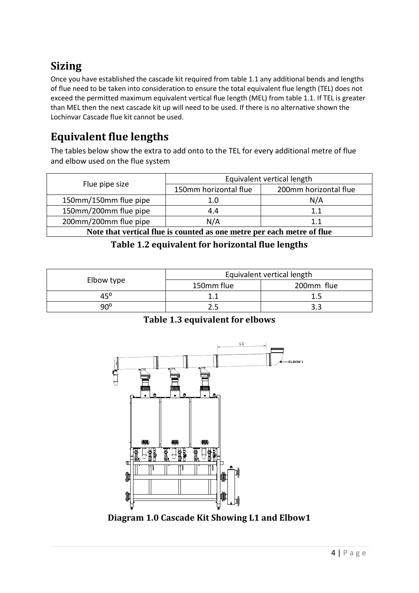# **Sizing**

Once you have established the cascade kit required from table 1.1 any additional bends and lengths of flue need to be taken into consideration to ensure the total equivalent flue length (TEL) does not exceed the permitted maximum equivalent vertical flue length (MEL) from table 1.1. If TEL is greater than MEL then the next cascade kit up will need to be used. If there is no alternative shown the Lochinvar Cascade flue kit cannot be used.

# **Equivalent flue lengths**

The tables below show the extra to add onto to the TEL for every additional metre of flue and elbow used on the flue system

|                                                                        | Equivalent vertical length |                       |  |
|------------------------------------------------------------------------|----------------------------|-----------------------|--|
| Flue pipe size                                                         | 150mm horizontal flue      | 200mm horizontal flue |  |
| 150mm/150mm flue pipe                                                  | 1.0                        | N/A                   |  |
| 150mm/200mm flue pipe                                                  | 4.4                        | 1.1                   |  |
| 200mm/200mm flue pipe                                                  | N/A                        | 1.1                   |  |
| Note that vertical flue is counted as one metre per each metre of flue |                            |                       |  |

#### **Table 1.2 equivalent for horizontal flue lengths**

|            | Equivalent vertical length |            |  |
|------------|----------------------------|------------|--|
| Elbow type | 150mm flue                 | 200mm flue |  |
| 450        |                            |            |  |
| a∩°        |                            |            |  |

#### **Table 1.3 equivalent for elbows**



**Diagram 1.0 Cascade Kit Showing L1 and Elbow1**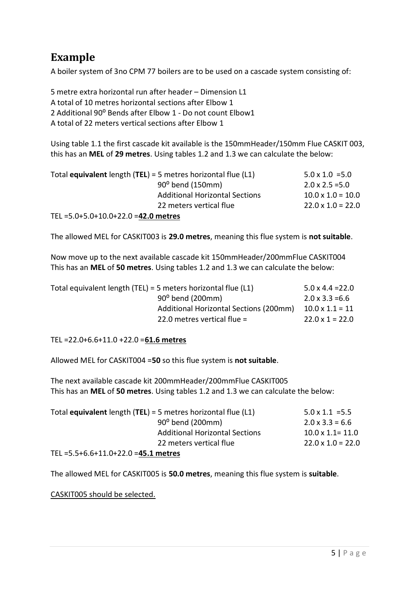# **Example**

A boiler system of 3no CPM 77 boilers are to be used on a cascade system consisting of:

5 metre extra horizontal run after header – Dimension L1 A total of 10 metres horizontal sections after Elbow 1 2 Additional 90° Bends after Elbow 1 - Do not count Elbow1 A total of 22 meters vertical sections after Elbow 1

Using table 1.1 the first cascade kit available is the 150mmHeader/150mm Flue CASKIT 003, this has an **MEL** of **29 metres**. Using tables 1.2 and 1.3 we can calculate the below:

|                                         | Total <b>equivalent</b> length $(TEL) = 5$ metres horizontal flue $(L1)$ | $5.0 \times 1.0 = 5.0$   |
|-----------------------------------------|--------------------------------------------------------------------------|--------------------------|
|                                         | 90° bend (150mm)                                                         | $2.0 \times 2.5 = 5.0$   |
|                                         | <b>Additional Horizontal Sections</b>                                    | $10.0 \times 1.0 = 10.0$ |
|                                         | 22 meters vertical flue                                                  | $22.0 \times 1.0 = 22.0$ |
| TEL = $5.0+5.0+10.0+22.0 = 42.0$ metres |                                                                          |                          |

The allowed MEL for CASKIT003 is **29.0 metres**, meaning this flue system is **not suitable**.

Now move up to the next available cascade kit 150mmHeader/200mmFlue CASKIT004 This has an **MEL** of **50 metres**. Using tables 1.2 and 1.3 we can calculate the below:

| Total equivalent length (TEL) = 5 meters horizontal flue $(L1)$ | $5.0 \times 4.4 = 22.0$ |
|-----------------------------------------------------------------|-------------------------|
| 90° bend (200mm)                                                | $2.0 \times 3.3 = 6.6$  |
| Additional Horizontal Sections (200mm)                          | $10.0 \times 1.1 = 11$  |
| 22.0 metres vertical flue $=$                                   | $22.0 \times 1 = 22.0$  |

TEL =22.0+6.6+11.0 +22.0 =**61.6 metres**

Allowed MEL for CASKIT004 =**50** so this flue system is **not suitable**.

The next available cascade kit 200mmHeader/200mmFlue CASKIT005 This has an **MEL** of **50 metres**. Using tables 1.2 and 1.3 we can calculate the below:

|                                | Total <b>equivalent</b> length $(TEL) = 5$ metres horizontal flue $(L1)$ | $5.0 \times 1.1 = 5.5$   |
|--------------------------------|--------------------------------------------------------------------------|--------------------------|
|                                | 90° bend (200mm)                                                         | $2.0 \times 3.3 = 6.6$   |
|                                | <b>Additional Horizontal Sections</b>                                    | $10.0 \times 1.1 = 11.0$ |
|                                | 22 meters vertical flue                                                  | $22.0 \times 1.0 = 22.0$ |
| ---<br>FF 66440.330 <b>1F4</b> |                                                                          |                          |

TEL =5.5+6.6+11.0+22.0 =**45.1 metres**

The allowed MEL for CASKIT005 is **50.0 metres**, meaning this flue system is **suitable**.

CASKIT005 should be selected.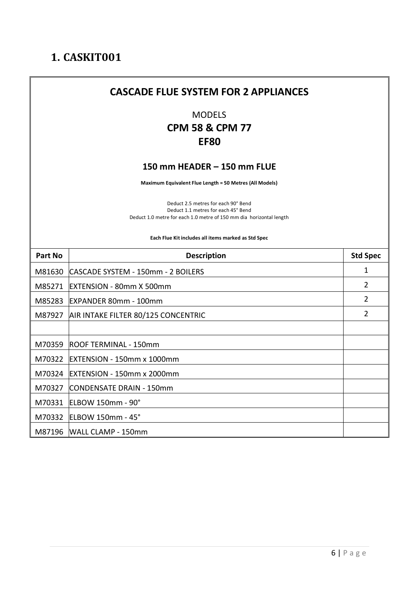# **CASCADE FLUE SYSTEM FOR 2 APPLIANCES** MODELS **CPM 58 & CPM 77 EF80 150 mm HEADER – 150 mm FLUE Maximum Equivalent Flue Length = 50 Metres (All Models)** Deduct 2.5 metres for each 90° Bend Deduct 1.1 metres for each 45° Bend Deduct 1.0 metre for each 1.0 metre of 150 mm dia horizontal length **Each Flue Kit includes all items marked as Std Spec Part No Description CONSERVING Std Spec** M81630 CASCADE SYSTEM - 150mm - 2 BOILERS 1 M85271 EXTENSION - 80mm X 500mm 2 M85283 EXPANDER 80mm - 100mm 2 M87927 AIR INTAKE FILTER 80/125 CONCENTRIC 2 M70359 ROOF TERMINAL - 150mm M70322 EXTENSION - 150mm x 1000mm M70324 EXTENSION - 150mm x 2000mm M70327 CONDENSATE DRAIN - 150mm M70331 ELBOW 150mm - 90° M70332 ELBOW 150mm - 45° M87196 WALL CLAMP - 150mm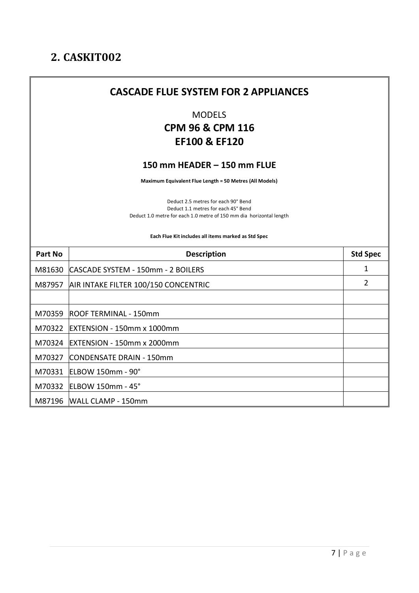Ï

|         | <b>CASCADE FLUE SYSTEM FOR 2 APPLIANCES</b>                                                                                                       |                 |
|---------|---------------------------------------------------------------------------------------------------------------------------------------------------|-----------------|
|         | <b>MODELS</b><br><b>CPM 96 &amp; CPM 116</b><br><b>EF100 &amp; EF120</b>                                                                          |                 |
|         | 150 mm HEADER - 150 mm FLUE                                                                                                                       |                 |
|         | Maximum Equivalent Flue Length = 50 Metres (All Models)                                                                                           |                 |
|         | Deduct 2.5 metres for each 90° Bend<br>Deduct 1.1 metres for each 45° Bend<br>Deduct 1.0 metre for each 1.0 metre of 150 mm dia horizontal length |                 |
|         | Each Flue Kit includes all items marked as Std Spec                                                                                               |                 |
|         |                                                                                                                                                   |                 |
| Part No | <b>Description</b>                                                                                                                                | <b>Std Spec</b> |
| M81630  | CASCADE SYSTEM - 150mm - 2 BOILERS                                                                                                                | 1               |
| M87957  | AIR INTAKE FILTER 100/150 CONCENTRIC                                                                                                              | $\overline{2}$  |
|         |                                                                                                                                                   |                 |
| M70359  | ROOF TERMINAL - 150mm                                                                                                                             |                 |
| M70322  | <b>EXTENSION - 150mm x 1000mm</b>                                                                                                                 |                 |
| M70324  | <b>EXTENSION - 150mm x 2000mm</b>                                                                                                                 |                 |
| M70327  | CONDENSATE DRAIN - 150mm                                                                                                                          |                 |
| M70331  | <b>ELBOW 150mm - 90°</b>                                                                                                                          |                 |
|         | M70332 ELBOW 150mm - 45°                                                                                                                          |                 |

and the control of the control of the control of the control of the control of the control of the control of the

 $\overline{\phantom{0}}$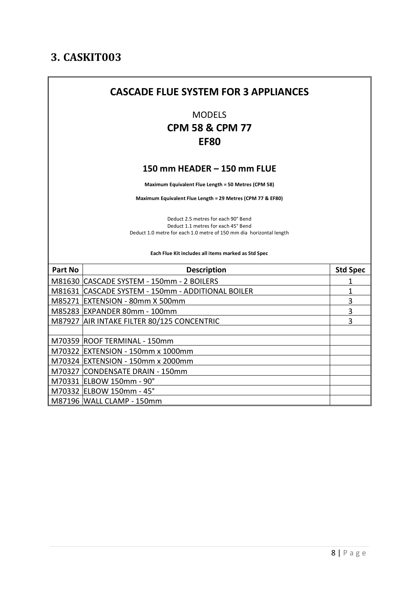|                | <b>CASCADE FLUE SYSTEM FOR 3 APPLIANCES</b>                                                                                                                                                              |                 |
|----------------|----------------------------------------------------------------------------------------------------------------------------------------------------------------------------------------------------------|-----------------|
|                | <b>MODELS</b><br><b>CPM 58 &amp; CPM 77</b><br><b>EF80</b>                                                                                                                                               |                 |
|                | 150 mm HEADER - 150 mm FLUE                                                                                                                                                                              |                 |
|                | Maximum Equivalent Flue Length = 50 Metres (CPM 58)                                                                                                                                                      |                 |
|                | Maximum Equivalent Flue Length = 29 Metres (CPM 77 & EF80)                                                                                                                                               |                 |
|                | Deduct 2.5 metres for each 90° Bend<br>Deduct 1.1 metres for each 45° Bend<br>Deduct 1.0 metre for each 1.0 metre of 150 mm dia horizontal length<br>Each Flue Kit includes all items marked as Std Spec |                 |
| <b>Part No</b> | <b>Description</b>                                                                                                                                                                                       | <b>Std Spec</b> |
|                | M81630 CASCADE SYSTEM - 150mm - 2 BOILERS                                                                                                                                                                | 1               |
|                | M81631 CASCADE SYSTEM - 150mm - ADDITIONAL BOILER                                                                                                                                                        | 1               |
|                | M85271 EXTENSION - 80mm X 500mm                                                                                                                                                                          | 3               |
|                | M85283 EXPANDER 80mm - 100mm                                                                                                                                                                             | 3               |
|                | M87927 AIR INTAKE FILTER 80/125 CONCENTRIC                                                                                                                                                               | 3               |
|                |                                                                                                                                                                                                          |                 |
|                | M70359 ROOF TERMINAL - 150mm                                                                                                                                                                             |                 |
|                | M70322 EXTENSION - 150mm x 1000mm                                                                                                                                                                        |                 |
|                | M70324 EXTENSION - 150mm x 2000mm                                                                                                                                                                        |                 |
|                | M70327 CONDENSATE DRAIN - 150mm                                                                                                                                                                          |                 |
|                | M70331 ELBOW 150mm - 90°                                                                                                                                                                                 |                 |
|                | M70332 ELBOW 150mm - 45°                                                                                                                                                                                 |                 |
|                | M87196 WALL CLAMP - 150mm                                                                                                                                                                                |                 |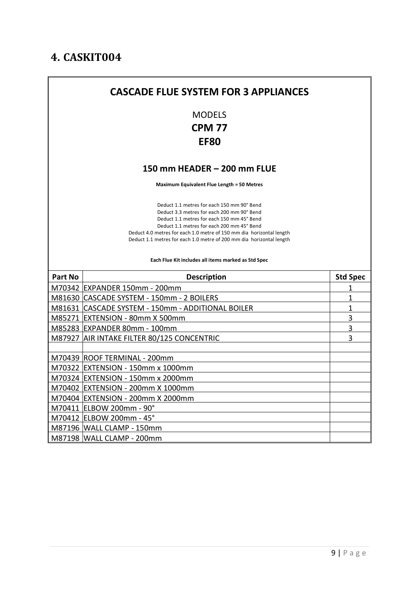|                | <b>CASCADE FLUE SYSTEM FOR 3 APPLIANCES</b>                                                                                                                                                                                                                                                                                                                                                 |                                  |
|----------------|---------------------------------------------------------------------------------------------------------------------------------------------------------------------------------------------------------------------------------------------------------------------------------------------------------------------------------------------------------------------------------------------|----------------------------------|
|                | <b>MODELS</b><br><b>CPM 77</b><br><b>EF80</b>                                                                                                                                                                                                                                                                                                                                               |                                  |
|                | 150 mm HEADER - 200 mm FLUE                                                                                                                                                                                                                                                                                                                                                                 |                                  |
|                | <b>Maximum Equivalent Flue Length = 50 Metres</b>                                                                                                                                                                                                                                                                                                                                           |                                  |
|                | Deduct 1.1 metres for each 150 mm 90° Bend<br>Deduct 3.3 metres for each 200 mm 90° Bend<br>Deduct 1.1 metres for each 150 mm 45° Bend<br>Deduct 1.1 metres for each 200 mm 45° Bend<br>Deduct 4.0 metres for each 1.0 metre of 150 mm dia horizontal length<br>Deduct 1.1 metres for each 1.0 metre of 200 mm dia horizontal length<br>Each Flue Kit includes all items marked as Std Spec |                                  |
|                |                                                                                                                                                                                                                                                                                                                                                                                             |                                  |
|                |                                                                                                                                                                                                                                                                                                                                                                                             |                                  |
| <b>Part No</b> | <b>Description</b>                                                                                                                                                                                                                                                                                                                                                                          | <b>Std Spec</b>                  |
|                | M70342 EXPANDER 150mm - 200mm                                                                                                                                                                                                                                                                                                                                                               | 1                                |
|                | M81630 CASCADE SYSTEM - 150mm - 2 BOILERS                                                                                                                                                                                                                                                                                                                                                   | $\overline{1}$<br>$\overline{1}$ |
|                | M81631 CASCADE SYSTEM - 150mm - ADDITIONAL BOILER<br>M85271 EXTENSION - 80mm X 500mm                                                                                                                                                                                                                                                                                                        | 3                                |
|                | M85283 EXPANDER 80mm - 100mm                                                                                                                                                                                                                                                                                                                                                                | 3                                |
|                | M87927 AIR INTAKE FILTER 80/125 CONCENTRIC                                                                                                                                                                                                                                                                                                                                                  | 3                                |
|                |                                                                                                                                                                                                                                                                                                                                                                                             |                                  |
|                | M70439 ROOF TERMINAL - 200mm                                                                                                                                                                                                                                                                                                                                                                |                                  |
|                | M70322 EXTENSION - 150mm x 1000mm                                                                                                                                                                                                                                                                                                                                                           |                                  |
|                | M70324 EXTENSION - 150mm x 2000mm                                                                                                                                                                                                                                                                                                                                                           |                                  |
|                | M70402 EXTENSION - 200mm X 1000mm                                                                                                                                                                                                                                                                                                                                                           |                                  |
|                | M70404 EXTENSION - 200mm X 2000mm                                                                                                                                                                                                                                                                                                                                                           |                                  |
|                | M70411 ELBOW 200mm - 90°                                                                                                                                                                                                                                                                                                                                                                    |                                  |
|                | M70412 ELBOW 200mm - 45°                                                                                                                                                                                                                                                                                                                                                                    |                                  |
|                | M87196 WALL CLAMP - 150mm                                                                                                                                                                                                                                                                                                                                                                   |                                  |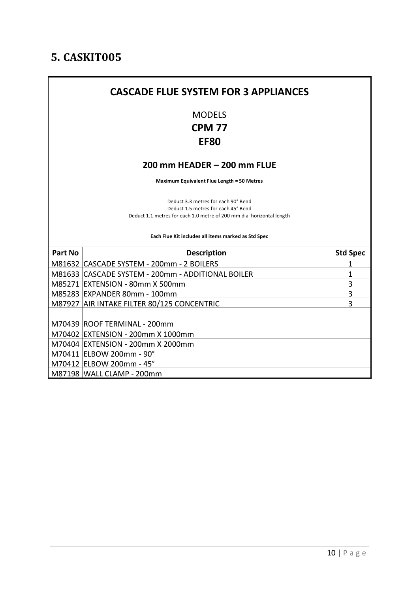## **CASCADE FLUE SYSTEM FOR 3 APPLIANCES** MODELS **CPM 77 EF80 200 mm HEADER – 200 mm FLUE Maximum Equivalent Flue Length = 50 Metres** Deduct 3.3 metres for each 90° Bend Deduct 1.5 metres for each 45° Bend Deduct 1.1 metres for each 1.0 metre of 200 mm dia horizontal length **Each Flue Kit includes all items marked as Std Spec Part No Description State Specific State Specific State Specific State Specific State Specific State Specific State Specific State Specific State Specific State Specific State Specific State Specific State Specific St** M81632 CASCADE SYSTEM - 200mm - 2 BOILERS 1 M81633 CASCADE SYSTEM - 200mm - ADDITIONAL BOILER 1 M85271 EXTENSION - 80mm X 500mm 3 M85283 EXPANDER 80mm - 100mm 3 M87927 AIR INTAKE FILTER 80/125 CONCENTRIC 3 M70439 ROOF TERMINAL - 200mm M70402 EXTENSION - 200mm X 1000mm M70404 EXTENSION - 200mm X 2000mm M70411 ELBOW 200mm - 90° M70412 ELBOW 200mm - 45° M87198 WALL CLAMP - 200mm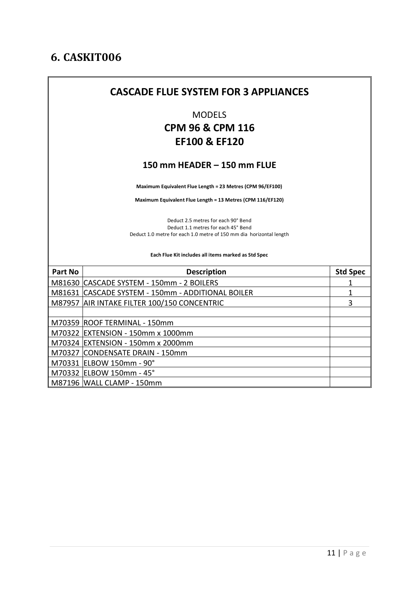| <b>MODELS</b><br><b>CPM 96 &amp; CPM 116</b><br><b>EF100 &amp; EF120</b><br>150 mm HEADER - 150 mm FLUE<br>Maximum Equivalent Flue Length = 23 Metres (CPM 96/EF100)<br>Maximum Equivalent Flue Length = 13 Metres (CPM 116/EF120)<br>Deduct 2.5 metres for each 90° Bend<br>Deduct 1.1 metres for each 45° Bend<br>Deduct 1.0 metre for each 1.0 metre of 150 mm dia horizontal length<br>Each Flue Kit includes all items marked as Std Spec<br><b>Part No</b><br><b>Std Spec</b><br><b>Description</b><br>M81630 CASCADE SYSTEM - 150mm - 2 BOILERS<br>1<br>M81631 CASCADE SYSTEM - 150mm - ADDITIONAL BOILER<br>1<br>3<br>M87957 AIR INTAKE FILTER 100/150 CONCENTRIC<br>M70359 ROOF TERMINAL - 150mm<br>M70322 EXTENSION - 150mm x 1000mm<br>M70324 EXTENSION - 150mm x 2000mm<br>M70327 CONDENSATE DRAIN - 150mm<br>M70331 ELBOW 150mm - 90°<br>M70332 ELBOW 150mm - 45° | <b>CASCADE FLUE SYSTEM FOR 3 APPLIANCES</b> |  |
|--------------------------------------------------------------------------------------------------------------------------------------------------------------------------------------------------------------------------------------------------------------------------------------------------------------------------------------------------------------------------------------------------------------------------------------------------------------------------------------------------------------------------------------------------------------------------------------------------------------------------------------------------------------------------------------------------------------------------------------------------------------------------------------------------------------------------------------------------------------------------------|---------------------------------------------|--|
|                                                                                                                                                                                                                                                                                                                                                                                                                                                                                                                                                                                                                                                                                                                                                                                                                                                                                |                                             |  |
|                                                                                                                                                                                                                                                                                                                                                                                                                                                                                                                                                                                                                                                                                                                                                                                                                                                                                |                                             |  |
|                                                                                                                                                                                                                                                                                                                                                                                                                                                                                                                                                                                                                                                                                                                                                                                                                                                                                |                                             |  |
|                                                                                                                                                                                                                                                                                                                                                                                                                                                                                                                                                                                                                                                                                                                                                                                                                                                                                |                                             |  |
|                                                                                                                                                                                                                                                                                                                                                                                                                                                                                                                                                                                                                                                                                                                                                                                                                                                                                |                                             |  |
|                                                                                                                                                                                                                                                                                                                                                                                                                                                                                                                                                                                                                                                                                                                                                                                                                                                                                |                                             |  |
|                                                                                                                                                                                                                                                                                                                                                                                                                                                                                                                                                                                                                                                                                                                                                                                                                                                                                |                                             |  |
|                                                                                                                                                                                                                                                                                                                                                                                                                                                                                                                                                                                                                                                                                                                                                                                                                                                                                |                                             |  |
|                                                                                                                                                                                                                                                                                                                                                                                                                                                                                                                                                                                                                                                                                                                                                                                                                                                                                |                                             |  |
|                                                                                                                                                                                                                                                                                                                                                                                                                                                                                                                                                                                                                                                                                                                                                                                                                                                                                |                                             |  |
|                                                                                                                                                                                                                                                                                                                                                                                                                                                                                                                                                                                                                                                                                                                                                                                                                                                                                |                                             |  |
|                                                                                                                                                                                                                                                                                                                                                                                                                                                                                                                                                                                                                                                                                                                                                                                                                                                                                |                                             |  |
|                                                                                                                                                                                                                                                                                                                                                                                                                                                                                                                                                                                                                                                                                                                                                                                                                                                                                |                                             |  |
|                                                                                                                                                                                                                                                                                                                                                                                                                                                                                                                                                                                                                                                                                                                                                                                                                                                                                |                                             |  |
|                                                                                                                                                                                                                                                                                                                                                                                                                                                                                                                                                                                                                                                                                                                                                                                                                                                                                |                                             |  |
|                                                                                                                                                                                                                                                                                                                                                                                                                                                                                                                                                                                                                                                                                                                                                                                                                                                                                |                                             |  |
|                                                                                                                                                                                                                                                                                                                                                                                                                                                                                                                                                                                                                                                                                                                                                                                                                                                                                |                                             |  |
| M87196   WALL CLAMP - 150mm                                                                                                                                                                                                                                                                                                                                                                                                                                                                                                                                                                                                                                                                                                                                                                                                                                                    |                                             |  |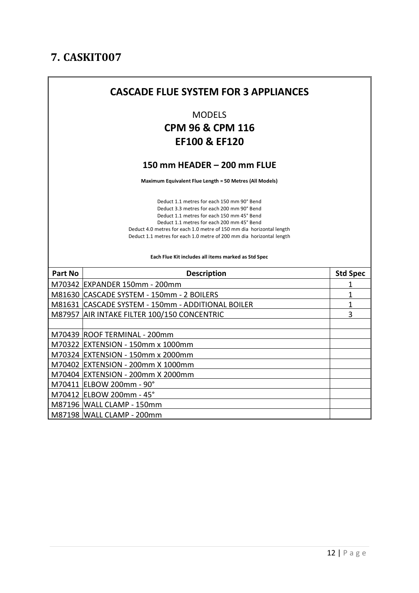|                | <b>CASCADE FLUE SYSTEM FOR 3 APPLIANCES</b>                                                                                                                                                                                                                                                                                          |                 |
|----------------|--------------------------------------------------------------------------------------------------------------------------------------------------------------------------------------------------------------------------------------------------------------------------------------------------------------------------------------|-----------------|
|                | <b>MODELS</b><br><b>CPM 96 &amp; CPM 116</b><br><b>EF100 &amp; EF120</b>                                                                                                                                                                                                                                                             |                 |
|                | 150 mm HEADER - 200 mm FLUE                                                                                                                                                                                                                                                                                                          |                 |
|                | Maximum Equivalent Flue Length = 50 Metres (All Models)                                                                                                                                                                                                                                                                              |                 |
|                | Deduct 1.1 metres for each 150 mm 90° Bend<br>Deduct 3.3 metres for each 200 mm 90° Bend<br>Deduct 1.1 metres for each 150 mm 45° Bend<br>Deduct 1.1 metres for each 200 mm 45° Bend<br>Deduct 4.0 metres for each 1.0 metre of 150 mm dia horizontal length<br>Deduct 1.1 metres for each 1.0 metre of 200 mm dia horizontal length |                 |
|                | Each Flue Kit includes all items marked as Std Spec                                                                                                                                                                                                                                                                                  |                 |
| <b>Part No</b> | <b>Description</b>                                                                                                                                                                                                                                                                                                                   | <b>Std Spec</b> |
|                | M70342 EXPANDER 150mm - 200mm                                                                                                                                                                                                                                                                                                        | 1               |
|                | M81630 CASCADE SYSTEM - 150mm - 2 BOILERS                                                                                                                                                                                                                                                                                            | 1               |
|                | M81631 CASCADE SYSTEM - 150mm - ADDITIONAL BOILER                                                                                                                                                                                                                                                                                    | 1               |
|                | M87957 AIR INTAKE FILTER 100/150 CONCENTRIC                                                                                                                                                                                                                                                                                          | 3               |
|                |                                                                                                                                                                                                                                                                                                                                      |                 |
|                | M70439 ROOF TERMINAL - 200mm                                                                                                                                                                                                                                                                                                         |                 |
|                | M70322 EXTENSION - 150mm x 1000mm                                                                                                                                                                                                                                                                                                    |                 |
|                | M70324 EXTENSION - 150mm x 2000mm                                                                                                                                                                                                                                                                                                    |                 |
|                | M70402 EXTENSION - 200mm X 1000mm                                                                                                                                                                                                                                                                                                    |                 |
|                | M70404 EXTENSION - 200mm X 2000mm                                                                                                                                                                                                                                                                                                    |                 |
|                | M70411 ELBOW 200mm - 90°                                                                                                                                                                                                                                                                                                             |                 |
|                | M70412 ELBOW 200mm - 45°                                                                                                                                                                                                                                                                                                             |                 |
|                | M87196 WALL CLAMP - 150mm<br>M87198 WALL CLAMP - 200mm                                                                                                                                                                                                                                                                               |                 |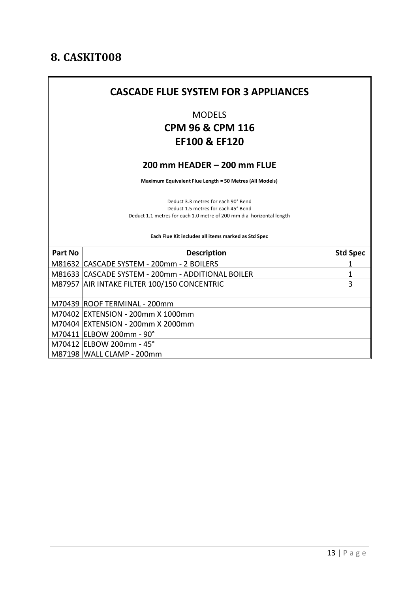#### **CASCADE FLUE SYSTEM FOR 3 APPLIANCES**

MODELS

#### **CPM 96 & CPM 116 EF100 & EF120**

#### **200 mm HEADER – 200 mm FLUE**

**Maximum Equivalent Flue Length = 50 Metres (All Models)**

Deduct 3.3 metres for each 90° Bend Deduct 1.5 metres for each 45° Bend Deduct 1.1 metres for each 1.0 metre of 200 mm dia horizontal length

**Each Flue Kit includes all items marked as Std Spec**

| <b>Part No</b> | <b>Description</b>                                 | <b>Std Spec</b> |
|----------------|----------------------------------------------------|-----------------|
|                | M81632 CASCADE SYSTEM - 200mm - 2 BOILERS          |                 |
|                | M81633  CASCADE SYSTEM - 200mm - ADDITIONAL BOILER |                 |
|                | M87957 AIR INTAKE FILTER 100/150 CONCENTRIC        | 3               |
|                |                                                    |                 |
|                | M70439 ROOF TERMINAL - 200mm                       |                 |
|                | M70402  EXTENSION - 200mm X 1000mm                 |                 |
|                | M70404  EXTENSION - 200mm X 2000mm                 |                 |
|                | M70411  ELBOW 200mm - 90°                          |                 |
|                | M70412  ELBOW 200mm - 45°                          |                 |
|                | M87198  WALL CLAMP - 200mm                         |                 |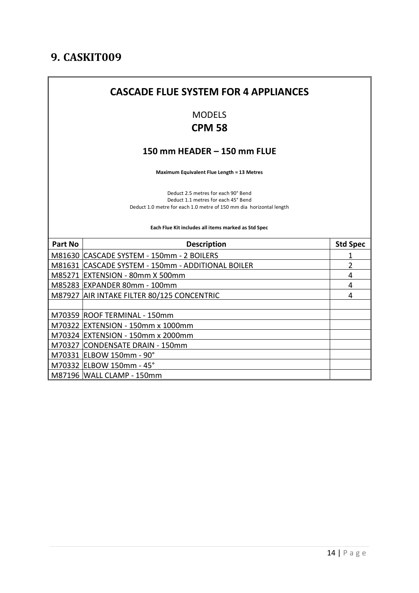# **CASCADE FLUE SYSTEM FOR 4 APPLIANCES** MODELS **CPM 58 150 mm HEADER – 150 mm FLUE Maximum Equivalent Flue Length = 13 Metres**  Deduct 2.5 metres for each 90° Bend Deduct 1.1 metres for each 45° Bend Deduct 1.0 metre for each 1.0 metre of 150 mm dia horizontal length **Each Flue Kit includes all items marked as Std Spec Part No Description CONSECTER STATE** M81630 CASCADE SYSTEM - 150mm - 2 BOILERS 1 M81631 CASCADE SYSTEM - 150mm - ADDITIONAL BOILER 2 M85271 EXTENSION - 80mm X 500mm 4 M85283 EXPANDER 80mm - 100mm 4 M87927 AIR INTAKE FILTER 80/125 CONCENTRIC 4 M70359 ROOF TERMINAL - 150mm M70322 EXTENSION - 150mm x 1000mm M70324 EXTENSION - 150mm x 2000mm M70327 CONDENSATE DRAIN - 150mm M70331 ELBOW 150mm - 90° M70332 ELBOW 150mm - 45° M87196 WALL CLAMP - 150mm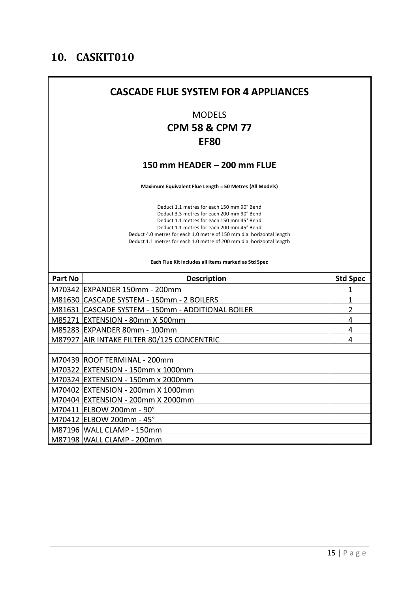| <b>CASCADE FLUE SYSTEM FOR 4 APPLIANCES</b>         |                                                                                                                                                                                                                                                                                                                                      |                 |  |  |
|-----------------------------------------------------|--------------------------------------------------------------------------------------------------------------------------------------------------------------------------------------------------------------------------------------------------------------------------------------------------------------------------------------|-----------------|--|--|
|                                                     | <b>MODELS</b><br><b>CPM 58 &amp; CPM 77</b><br><b>EF80</b>                                                                                                                                                                                                                                                                           |                 |  |  |
|                                                     | 150 mm HEADER - 200 mm FLUE                                                                                                                                                                                                                                                                                                          |                 |  |  |
|                                                     | Maximum Equivalent Flue Length = 50 Metres (All Models)                                                                                                                                                                                                                                                                              |                 |  |  |
|                                                     | Deduct 1.1 metres for each 150 mm 90° Bend<br>Deduct 3.3 metres for each 200 mm 90° Bend<br>Deduct 1.1 metres for each 150 mm 45° Bend<br>Deduct 1.1 metres for each 200 mm 45° Bend<br>Deduct 4.0 metres for each 1.0 metre of 150 mm dia horizontal length<br>Deduct 1.1 metres for each 1.0 metre of 200 mm dia horizontal length |                 |  |  |
| Each Flue Kit includes all items marked as Std Spec |                                                                                                                                                                                                                                                                                                                                      |                 |  |  |
| Part No                                             | <b>Description</b>                                                                                                                                                                                                                                                                                                                   | <b>Std Spec</b> |  |  |
|                                                     | M70342 EXPANDER 150mm - 200mm                                                                                                                                                                                                                                                                                                        | 1               |  |  |
|                                                     | M81630 CASCADE SYSTEM - 150mm - 2 BOILERS                                                                                                                                                                                                                                                                                            | 1               |  |  |
|                                                     | M81631 CASCADE SYSTEM - 150mm - ADDITIONAL BOILER                                                                                                                                                                                                                                                                                    | 2               |  |  |
|                                                     | M85271 EXTENSION - 80mm X 500mm                                                                                                                                                                                                                                                                                                      | 4               |  |  |
|                                                     | M85283 EXPANDER 80mm - 100mm                                                                                                                                                                                                                                                                                                         | 4               |  |  |
|                                                     | M87927 AIR INTAKE FILTER 80/125 CONCENTRIC                                                                                                                                                                                                                                                                                           | 4               |  |  |
|                                                     |                                                                                                                                                                                                                                                                                                                                      |                 |  |  |
|                                                     | M70439 ROOF TERMINAL - 200mm                                                                                                                                                                                                                                                                                                         |                 |  |  |
|                                                     | M70322 EXTENSION - 150mm x 1000mm                                                                                                                                                                                                                                                                                                    |                 |  |  |
|                                                     | M70324 EXTENSION - 150mm x 2000mm                                                                                                                                                                                                                                                                                                    |                 |  |  |
|                                                     | M70402 EXTENSION - 200mm X 1000mm<br>M70404 EXTENSION - 200mm X 2000mm                                                                                                                                                                                                                                                               |                 |  |  |
|                                                     | M70411 ELBOW 200mm - 90°                                                                                                                                                                                                                                                                                                             |                 |  |  |
|                                                     | M70412 ELBOW 200mm - 45°                                                                                                                                                                                                                                                                                                             |                 |  |  |
|                                                     | M87196   WALL CLAMP - 150mm                                                                                                                                                                                                                                                                                                          |                 |  |  |
|                                                     | M87198 WALL CLAMP - 200mm                                                                                                                                                                                                                                                                                                            |                 |  |  |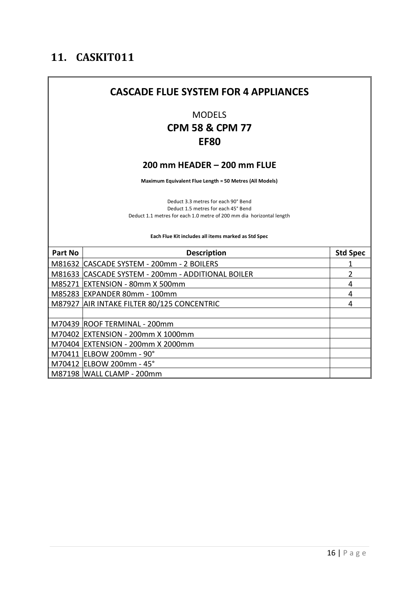# **CASCADE FLUE SYSTEM FOR 4 APPLIANCES** MODELS **CPM 58 & CPM 77 EF80 200 mm HEADER – 200 mm FLUE Maximum Equivalent Flue Length = 50 Metres (All Models)** Deduct 3.3 metres for each 90° Bend Deduct 1.5 metres for each 45° Bend

Deduct 1.1 metres for each 1.0 metre of 200 mm dia horizontal length

**Each Flue Kit includes all items marked as Std Spec**

| Part No | <b>Description</b>                                | <b>Std Spec</b> |
|---------|---------------------------------------------------|-----------------|
|         | M81632 CASCADE SYSTEM - 200mm - 2 BOILERS         |                 |
|         | M81633 CASCADE SYSTEM - 200mm - ADDITIONAL BOILER | 2               |
|         | M85271 EXTENSION - 80mm X 500mm                   | 4               |
|         | M85283 EXPANDER 80mm - 100mm                      | 4               |
|         | M87927 AIR INTAKE FILTER 80/125 CONCENTRIC        | 4               |
|         |                                                   |                 |
|         | M70439 ROOF TERMINAL - 200mm                      |                 |
|         | M70402 EXTENSION - 200mm X 1000mm                 |                 |
|         | M70404 EXTENSION - 200mm X 2000mm                 |                 |
|         | M70411 ELBOW 200mm - 90°                          |                 |
|         | M70412 ELBOW 200mm - 45°                          |                 |
|         | M87198   WALL CLAMP - 200mm                       |                 |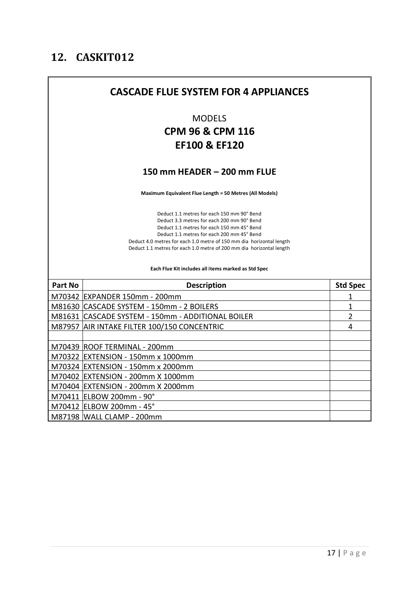'n

|                                                     | <b>CASCADE FLUE SYSTEM FOR 4 APPLIANCES</b>                                                                                                                                                                                                                                                                                          |                 |  |  |
|-----------------------------------------------------|--------------------------------------------------------------------------------------------------------------------------------------------------------------------------------------------------------------------------------------------------------------------------------------------------------------------------------------|-----------------|--|--|
|                                                     | <b>MODELS</b><br><b>CPM 96 &amp; CPM 116</b>                                                                                                                                                                                                                                                                                         |                 |  |  |
|                                                     | <b>EF100 &amp; EF120</b>                                                                                                                                                                                                                                                                                                             |                 |  |  |
|                                                     | 150 mm HEADER - 200 mm FLUE                                                                                                                                                                                                                                                                                                          |                 |  |  |
|                                                     | Maximum Equivalent Flue Length = 50 Metres (All Models)                                                                                                                                                                                                                                                                              |                 |  |  |
|                                                     | Deduct 1.1 metres for each 150 mm 90° Bend<br>Deduct 3.3 metres for each 200 mm 90° Bend<br>Deduct 1.1 metres for each 150 mm 45° Bend<br>Deduct 1.1 metres for each 200 mm 45° Bend<br>Deduct 4.0 metres for each 1.0 metre of 150 mm dia horizontal length<br>Deduct 1.1 metres for each 1.0 metre of 200 mm dia horizontal length |                 |  |  |
| Each Flue Kit includes all items marked as Std Spec |                                                                                                                                                                                                                                                                                                                                      |                 |  |  |
| Part No                                             | <b>Description</b>                                                                                                                                                                                                                                                                                                                   | <b>Std Spec</b> |  |  |
|                                                     | M70342 EXPANDER 150mm - 200mm                                                                                                                                                                                                                                                                                                        | 1               |  |  |
|                                                     | M81630 CASCADE SYSTEM - 150mm - 2 BOILERS                                                                                                                                                                                                                                                                                            | 1               |  |  |
|                                                     | M81631 CASCADE SYSTEM - 150mm - ADDITIONAL BOILER                                                                                                                                                                                                                                                                                    | $\overline{2}$  |  |  |
|                                                     | M87957 AIR INTAKE FILTER 100/150 CONCENTRIC                                                                                                                                                                                                                                                                                          | 4               |  |  |
|                                                     | M70439 ROOF TERMINAL - 200mm                                                                                                                                                                                                                                                                                                         |                 |  |  |
|                                                     | M70322 EXTENSION - 150mm x 1000mm                                                                                                                                                                                                                                                                                                    |                 |  |  |
|                                                     | M70324 EXTENSION - 150mm x 2000mm                                                                                                                                                                                                                                                                                                    |                 |  |  |
|                                                     |                                                                                                                                                                                                                                                                                                                                      |                 |  |  |
|                                                     | M70402 EXTENSION - 200mm X 1000mm                                                                                                                                                                                                                                                                                                    |                 |  |  |
|                                                     | M70404 EXTENSION - 200mm X 2000mm                                                                                                                                                                                                                                                                                                    |                 |  |  |
|                                                     | M70411 ELBOW 200mm - 90°                                                                                                                                                                                                                                                                                                             |                 |  |  |
|                                                     | M70412 ELBOW 200mm - 45°                                                                                                                                                                                                                                                                                                             |                 |  |  |

and the control of the control of the control of the control of the control of the control of the control of the

 $\overline{\phantom{0}}$